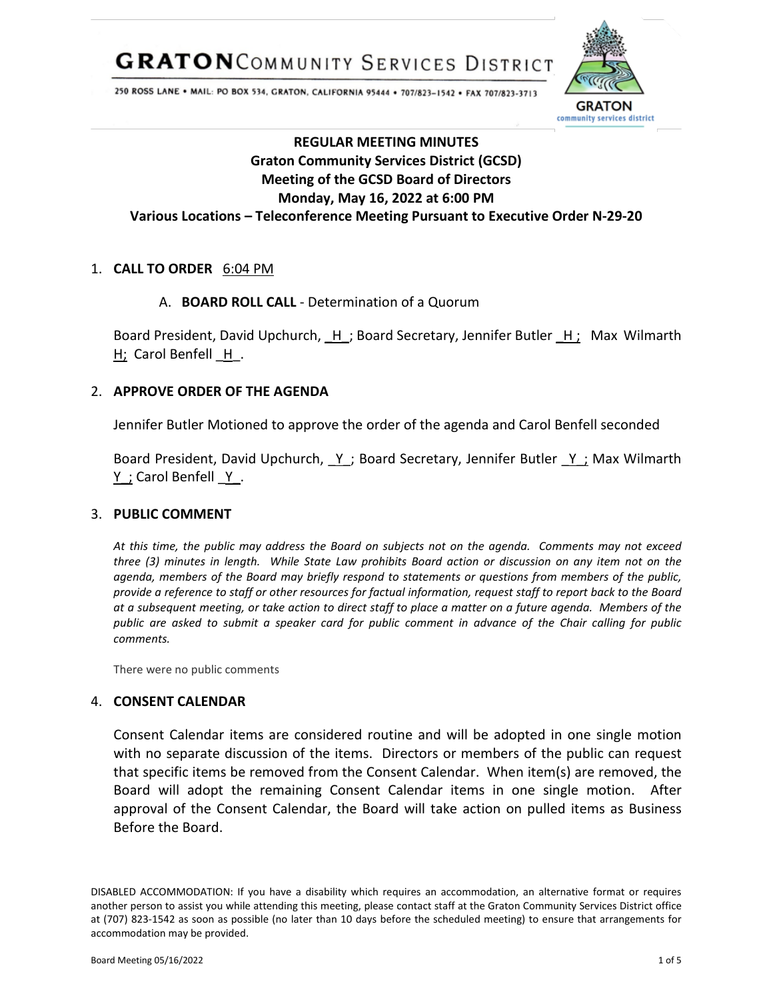**GRATON**COMMUNITY SERVICES DISTRICT



250 ROSS LANE . MAIL: PO BOX 534, GRATON, CALIFORNIA 95444 . 707/823-1542 . FAX 707/823-3713

# **REGULAR MEETING MINUTES Graton Community Services District (GCSD) Meeting of the GCSD Board of Directors Monday, May 16, 2022 at 6:00 PM Various Locations – Teleconference Meeting Pursuant to Executive Order N-29-20**

## 1. **CALL TO ORDER** 6:04 PM

## A. **BOARD ROLL CALL** - Determination of a Quorum

Board President, David Upchurch,  $H$ ; Board Secretary, Jennifer Butler  $H_i$  Max Wilmarth H; Carol Benfell H.

## 2. **APPROVE ORDER OF THE AGENDA**

Jennifer Butler Motioned to approve the order of the agenda and Carol Benfell seconded

Board President, David Upchurch, Y; Board Secretary, Jennifer Butler Y; Max Wilmarth  $Y$  ; Carol Benfell  $Y$ .

## 3. **PUBLIC COMMENT**

*At this time, the public may address the Board on subjects not on the agenda. Comments may not exceed three (3) minutes in length. While State Law prohibits Board action or discussion on any item not on the agenda, members of the Board may briefly respond to statements or questions from members of the public, provide a reference to staff or other resources for factual information, request staff to report back to the Board at a subsequent meeting, or take action to direct staff to place a matter on a future agenda. Members of the public are asked to submit a speaker card for public comment in advance of the Chair calling for public comments.*

There were no public comments

## 4. **CONSENT CALENDAR**

Consent Calendar items are considered routine and will be adopted in one single motion with no separate discussion of the items. Directors or members of the public can request that specific items be removed from the Consent Calendar. When item(s) are removed, the Board will adopt the remaining Consent Calendar items in one single motion. After approval of the Consent Calendar, the Board will take action on pulled items as Business Before the Board.

DISABLED ACCOMMODATION: If you have a disability which requires an accommodation, an alternative format or requires another person to assist you while attending this meeting, please contact staff at the Graton Community Services District office at (707) 823-1542 as soon as possible (no later than 10 days before the scheduled meeting) to ensure that arrangements for accommodation may be provided.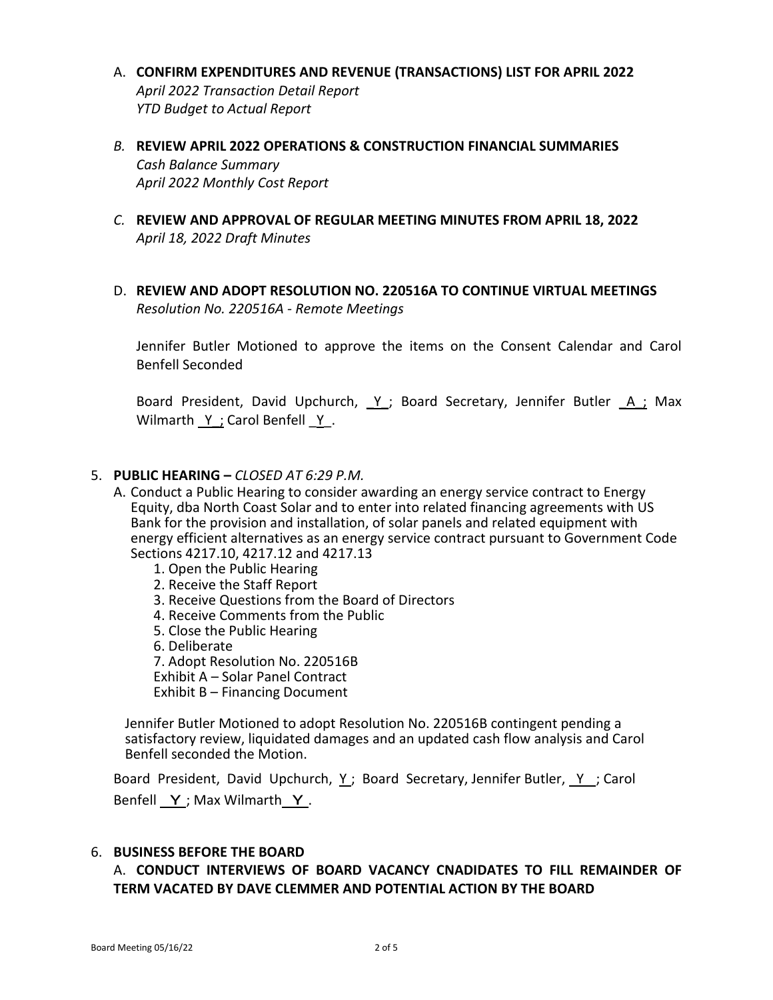- A. **CONFIRM EXPENDITURES AND REVENUE (TRANSACTIONS) LIST FOR APRIL 2022** *April 2022 Transaction Detail Report YTD Budget to Actual Report*
- *B.* **REVIEW APRIL 2022 OPERATIONS & CONSTRUCTION FINANCIAL SUMMARIES** *Cash Balance Summary April 2022 Monthly Cost Report*
- *C.* **REVIEW AND APPROVAL OF REGULAR MEETING MINUTES FROM APRIL 18, 2022** *April 18, 2022 Draft Minutes*
- D. **REVIEW AND ADOPT RESOLUTION NO. 220516A TO CONTINUE VIRTUAL MEETINGS** *Resolution No. 220516A - Remote Meetings*

Jennifer Butler Motioned to approve the items on the Consent Calendar and Carol Benfell Seconded

Board President, David Upchurch, Y; Board Secretary, Jennifer Butler A; Max Wilmarth Y ; Carol Benfell Y.

#### 5. **PUBLIC HEARING –** *CLOSED AT 6:29 P.M.*

- A. Conduct a Public Hearing to consider awarding an energy service contract to Energy Equity, dba North Coast Solar and to enter into related financing agreements with US Bank for the provision and installation, of solar panels and related equipment with energy efficient alternatives as an energy service contract pursuant to Government Code Sections 4217.10, 4217.12 and 4217.13
	- 1. Open the Public Hearing
	- 2. Receive the Staff Report
	- 3. Receive Questions from the Board of Directors
	- 4. Receive Comments from the Public
	- 5. Close the Public Hearing
	- 6. Deliberate
	- 7. Adopt Resolution No. 220516B
	- Exhibit A Solar Panel Contract

Exhibit B – Financing Document

Jennifer Butler Motioned to adopt Resolution No. 220516B contingent pending a satisfactory review, liquidated damages and an updated cash flow analysis and Carol Benfell seconded the Motion.

Board President, David Upchurch, Y ; Board Secretary, Jennifer Butler, Y ; Carol Benfell Y; Max Wilmarth Y.

#### 6. **BUSINESS BEFORE THE BOARD**

A. **CONDUCT INTERVIEWS OF BOARD VACANCY CNADIDATES TO FILL REMAINDER OF TERM VACATED BY DAVE CLEMMER AND POTENTIAL ACTION BY THE BOARD**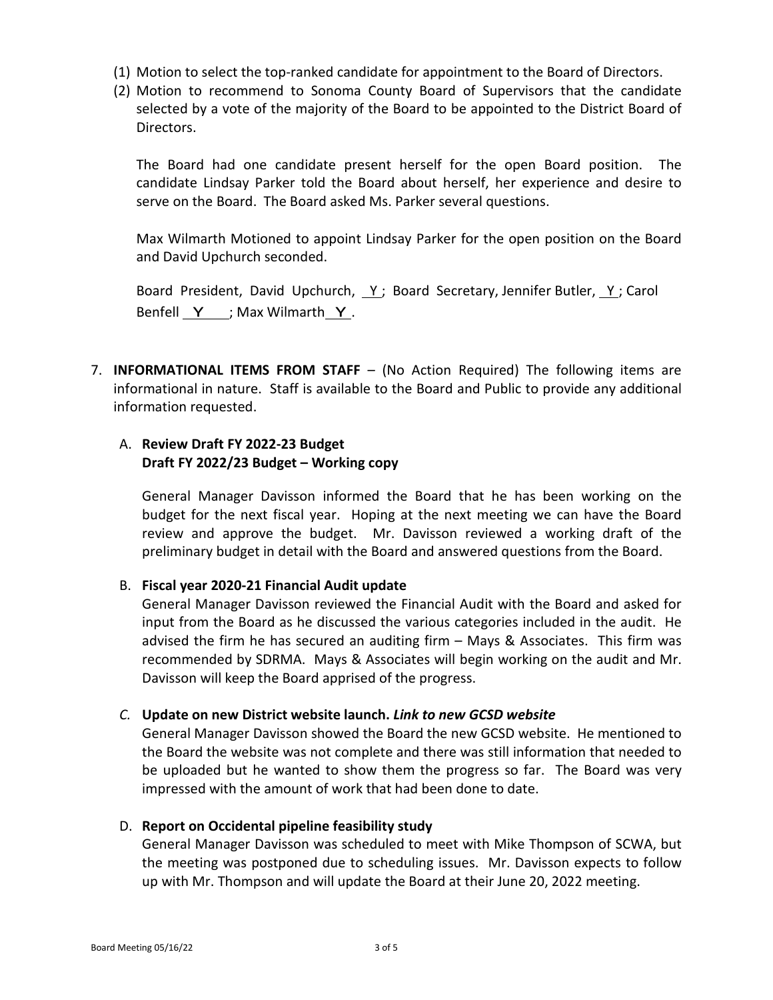- (1) Motion to select the top-ranked candidate for appointment to the Board of Directors.
- (2) Motion to recommend to Sonoma County Board of Supervisors that the candidate selected by a vote of the majority of the Board to be appointed to the District Board of Directors.

The Board had one candidate present herself for the open Board position. The candidate Lindsay Parker told the Board about herself, her experience and desire to serve on the Board. The Board asked Ms. Parker several questions.

Max Wilmarth Motioned to appoint Lindsay Parker for the open position on the Board and David Upchurch seconded.

Board President, David Upchurch,  $Y$ ; Board Secretary, Jennifer Butler,  $Y$ ; Carol Benfell  $Y$  ; Max Wilmarth  $Y$ .

7. **INFORMATIONAL ITEMS FROM STAFF** – (No Action Required) The following items are informational in nature. Staff is available to the Board and Public to provide any additional information requested.

# A. **Review Draft FY 2022-23 Budget Draft FY 2022/23 Budget – Working copy**

General Manager Davisson informed the Board that he has been working on the budget for the next fiscal year. Hoping at the next meeting we can have the Board review and approve the budget. Mr. Davisson reviewed a working draft of the preliminary budget in detail with the Board and answered questions from the Board.

## B. **Fiscal year 2020-21 Financial Audit update**

General Manager Davisson reviewed the Financial Audit with the Board and asked for input from the Board as he discussed the various categories included in the audit. He advised the firm he has secured an auditing firm – Mays & Associates. This firm was recommended by SDRMA. Mays & Associates will begin working on the audit and Mr. Davisson will keep the Board apprised of the progress.

## *C.* **Update on new District website launch.** *Link to new GCSD website*

General Manager Davisson showed the Board the new GCSD website. He mentioned to the Board the website was not complete and there was still information that needed to be uploaded but he wanted to show them the progress so far. The Board was very impressed with the amount of work that had been done to date.

#### D. **Report on Occidental pipeline feasibility study**

General Manager Davisson was scheduled to meet with Mike Thompson of SCWA, but the meeting was postponed due to scheduling issues. Mr. Davisson expects to follow up with Mr. Thompson and will update the Board at their June 20, 2022 meeting.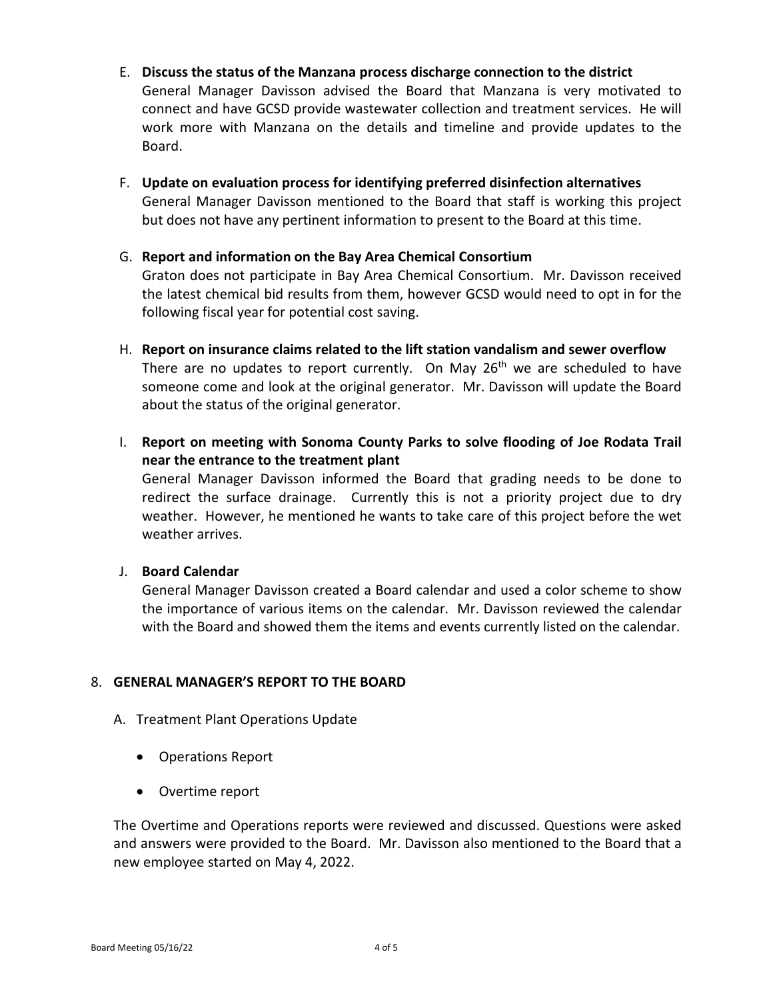- E. **Discuss the status of the Manzana process discharge connection to the district** General Manager Davisson advised the Board that Manzana is very motivated to connect and have GCSD provide wastewater collection and treatment services. He will work more with Manzana on the details and timeline and provide updates to the Board.
- F. **Update on evaluation process for identifying preferred disinfection alternatives** General Manager Davisson mentioned to the Board that staff is working this project but does not have any pertinent information to present to the Board at this time.
- G. **Report and information on the Bay Area Chemical Consortium** Graton does not participate in Bay Area Chemical Consortium. Mr. Davisson received

the latest chemical bid results from them, however GCSD would need to opt in for the following fiscal year for potential cost saving.

- H. **Report on insurance claims related to the lift station vandalism and sewer overflow** There are no updates to report currently. On May 26<sup>th</sup> we are scheduled to have someone come and look at the original generator. Mr. Davisson will update the Board about the status of the original generator.
- I. **Report on meeting with Sonoma County Parks to solve flooding of Joe Rodata Trail near the entrance to the treatment plant**

General Manager Davisson informed the Board that grading needs to be done to redirect the surface drainage. Currently this is not a priority project due to dry weather. However, he mentioned he wants to take care of this project before the wet weather arrives.

# J. **Board Calendar**

General Manager Davisson created a Board calendar and used a color scheme to show the importance of various items on the calendar. Mr. Davisson reviewed the calendar with the Board and showed them the items and events currently listed on the calendar.

# 8. **GENERAL MANAGER'S REPORT TO THE BOARD**

- A. Treatment Plant Operations Update
	- Operations Report
	- Overtime report

The Overtime and Operations reports were reviewed and discussed. Questions were asked and answers were provided to the Board. Mr. Davisson also mentioned to the Board that a new employee started on May 4, 2022.